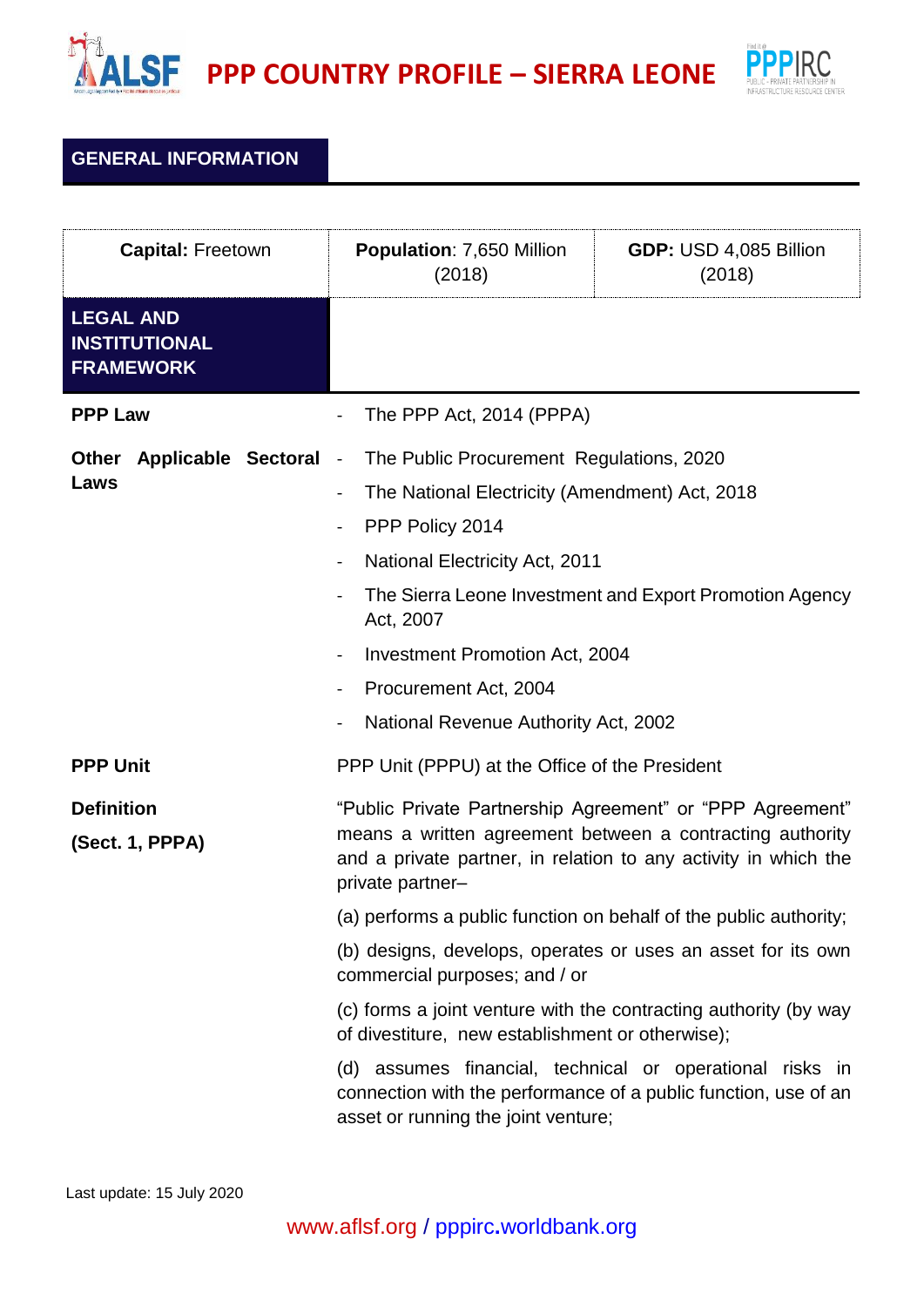



## **GENERAL INFORMATION**

| <b>Capital: Freetown</b>                                     |                     | <b>Population: 7,650 Million</b><br>(2018)                                                                                                                                                                                                                                           | GDP: USD 4,085 Billion<br>(2018)                        |
|--------------------------------------------------------------|---------------------|--------------------------------------------------------------------------------------------------------------------------------------------------------------------------------------------------------------------------------------------------------------------------------------|---------------------------------------------------------|
| <b>LEGAL AND</b><br><b>INSTITUTIONAL</b><br><b>FRAMEWORK</b> |                     |                                                                                                                                                                                                                                                                                      |                                                         |
| <b>PPP Law</b>                                               |                     | The PPP Act, 2014 (PPPA)                                                                                                                                                                                                                                                             |                                                         |
| <b>Other</b><br>Laws                                         | Applicable Sectoral | The Public Procurement Regulations, 2020<br>$\sim$ $-$<br>The National Electricity (Amendment) Act, 2018<br>PPP Policy 2014<br><b>National Electricity Act, 2011</b><br>Act, 2007<br>Investment Promotion Act, 2004<br>Procurement Act, 2004<br>National Revenue Authority Act, 2002 | The Sierra Leone Investment and Export Promotion Agency |
| <b>PPP Unit</b>                                              |                     | PPP Unit (PPPU) at the Office of the President                                                                                                                                                                                                                                       |                                                         |
| <b>Definition</b><br>(Sect. 1, PPPA)                         |                     | "Public Private Partnership Agreement" or "PPP Agreement"<br>means a written agreement between a contracting authority<br>and a private partner, in relation to any activity in which the<br>private partner-                                                                        |                                                         |
|                                                              |                     | (a) performs a public function on behalf of the public authority;                                                                                                                                                                                                                    |                                                         |
|                                                              |                     | (b) designs, develops, operates or uses an asset for its own<br>commercial purposes; and / or                                                                                                                                                                                        |                                                         |
|                                                              |                     | (c) forms a joint venture with the contracting authority (by way<br>of divestiture, new establishment or otherwise);                                                                                                                                                                 |                                                         |
|                                                              |                     | (d) assumes financial, technical or operational risks in<br>connection with the performance of a public function, use of an<br>asset or running the joint venture;                                                                                                                   |                                                         |

Last update: 15 July 2020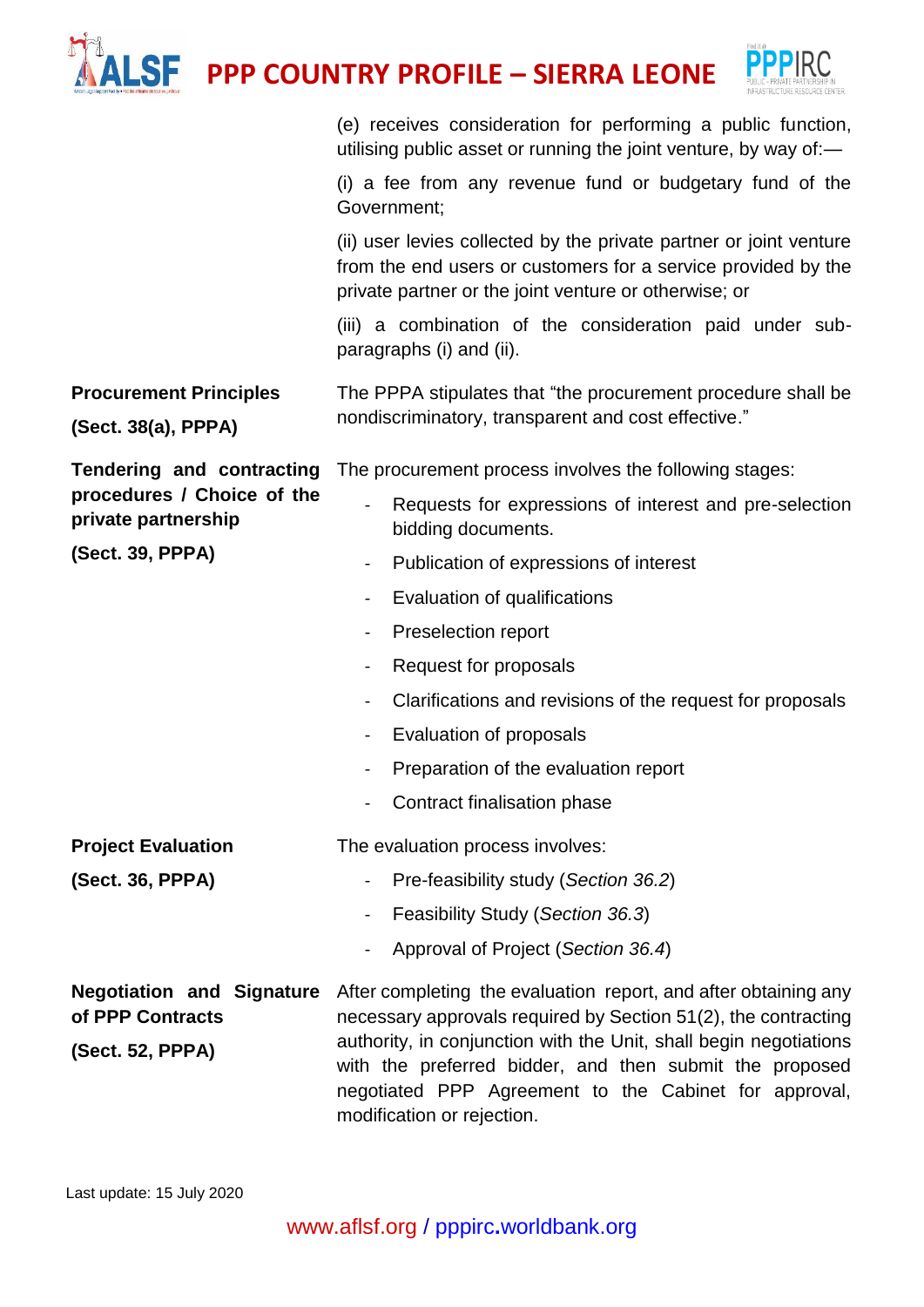|                                                                          | <b>PPP COUNTRY PROFILE - SIERRA LEONE</b>                                                                                                                                                              |  |
|--------------------------------------------------------------------------|--------------------------------------------------------------------------------------------------------------------------------------------------------------------------------------------------------|--|
|                                                                          | (e) receives consideration for performing a public function,<br>utilising public asset or running the joint venture, by way of:-                                                                       |  |
|                                                                          | (i) a fee from any revenue fund or budgetary fund of the<br>Government;                                                                                                                                |  |
|                                                                          | (ii) user levies collected by the private partner or joint venture<br>from the end users or customers for a service provided by the<br>private partner or the joint venture or otherwise; or           |  |
|                                                                          | (iii) a combination of the consideration paid under sub-<br>paragraphs (i) and (ii).                                                                                                                   |  |
| <b>Procurement Principles</b><br>(Sect. 38(a), PPPA)                     | The PPPA stipulates that "the procurement procedure shall be<br>nondiscriminatory, transparent and cost effective."                                                                                    |  |
| <b>Tendering and contracting</b>                                         | The procurement process involves the following stages:                                                                                                                                                 |  |
| procedures / Choice of the<br>private partnership                        | Requests for expressions of interest and pre-selection<br>$\blacksquare$<br>bidding documents.                                                                                                         |  |
| (Sect. 39, PPPA)                                                         | Publication of expressions of interest                                                                                                                                                                 |  |
|                                                                          | Evaluation of qualifications                                                                                                                                                                           |  |
|                                                                          | Preselection report                                                                                                                                                                                    |  |
|                                                                          | Request for proposals                                                                                                                                                                                  |  |
|                                                                          | Clarifications and revisions of the request for proposals                                                                                                                                              |  |
|                                                                          | Evaluation of proposals                                                                                                                                                                                |  |
|                                                                          | Preparation of the evaluation report<br>$\qquad \qquad \blacksquare$                                                                                                                                   |  |
|                                                                          | Contract finalisation phase                                                                                                                                                                            |  |
| <b>Project Evaluation</b>                                                | The evaluation process involves:                                                                                                                                                                       |  |
| (Sect. 36, PPPA)                                                         | Pre-feasibility study (Section 36.2)                                                                                                                                                                   |  |
|                                                                          | Feasibility Study (Section 36.3)<br>$\qquad \qquad \blacksquare$                                                                                                                                       |  |
|                                                                          | Approval of Project (Section 36.4)                                                                                                                                                                     |  |
| <b>Negotiation and Signature</b><br>of PPP Contracts<br>(Sect. 52, PPPA) | After completing the evaluation report, and after obtaining any<br>necessary approvals required by Section 51(2), the contracting<br>authority, in conjunction with the Unit, shall begin negotiations |  |
|                                                                          | with the preferred bidder, and then submit the proposed<br>negotiated PPP Agreement to the Cabinet for approval,<br>modification or rejection.                                                         |  |